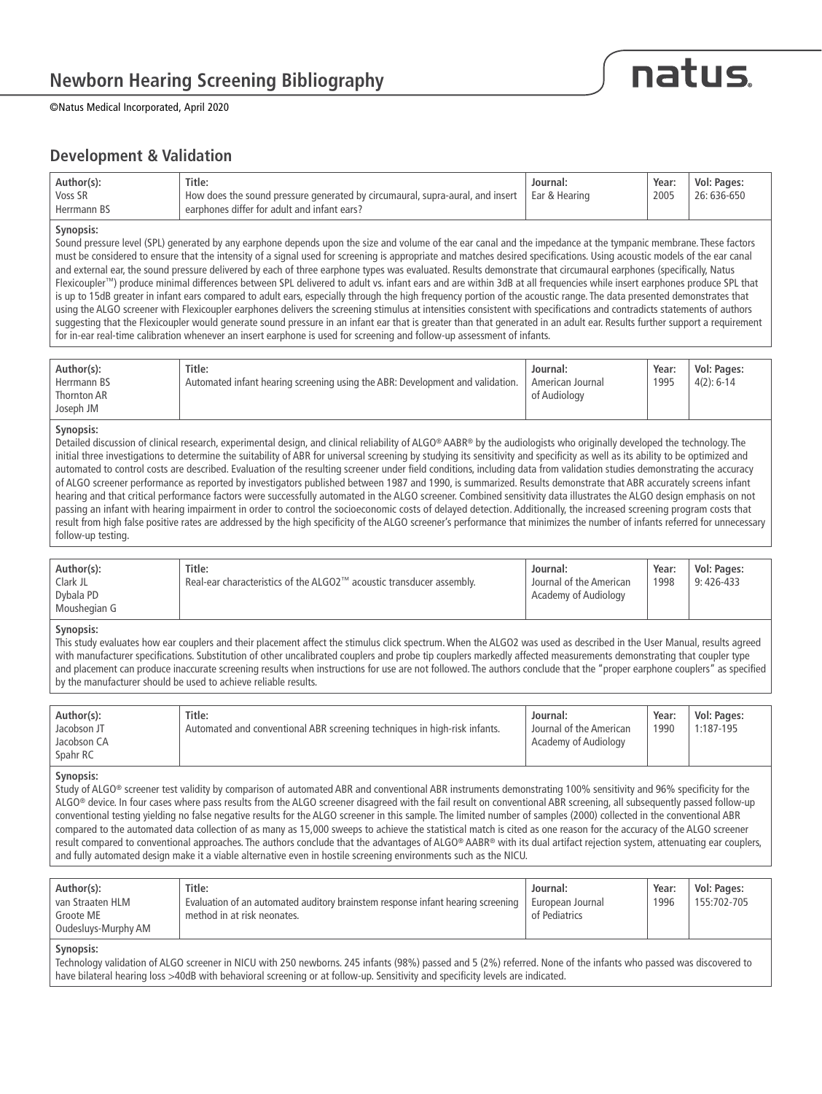

©Natus Medical Incorporated, April 2020

### **Development & Validation**

|                                                                                                                                                                                              |      | Vol: Pages: |
|----------------------------------------------------------------------------------------------------------------------------------------------------------------------------------------------|------|-------------|
| Voss SR<br>$\degree$ How does the sound pressure generated by circumaural, supra-aural, and insert $\degree$   Ear & Hearing<br>' earphones differ for adult and infant ears?<br>Herrmann BS | 2005 | 26: 636-650 |

#### **Synopsis:**

Sound pressure level (SPL) generated by any earphone depends upon the size and volume of the ear canal and the impedance at the tympanic membrane. These factors must be considered to ensure that the intensity of a signal used for screening is appropriate and matches desired specifications. Using acoustic models of the ear canal and external ear, the sound pressure delivered by each of three earphone types was evaluated. Results demonstrate that circumaural earphones (specifically, Natus Flexicoupler™) produce minimal differences between SPL delivered to adult vs. infant ears and are within 3dB at all frequencies while insert earphones produce SPL that is up to 15dB greater in infant ears compared to adult ears, especially through the high frequency portion of the acoustic range. The data presented demonstrates that using the ALGO screener with Flexicoupler earphones delivers the screening stimulus at intensities consistent with specifications and contradicts statements of authors suggesting that the Flexicoupler would generate sound pressure in an infant ear that is greater than that generated in an adult ear. Results further support a requirement for in-ear real-time calibration whenever an insert earphone is used for screening and follow-up assessment of infants.

| Author(s):  | Title:                                                                        | Journal:         | Year: | Vol: Pages:  |
|-------------|-------------------------------------------------------------------------------|------------------|-------|--------------|
| Herrmann BS | Automated infant hearing screening using the ABR: Development and validation. | American Journal | 1995  | $4(2): 6-14$ |
| Thornton AR |                                                                               | of Audiology     |       |              |
| Joseph JM   |                                                                               |                  |       |              |

#### **Synopsis:**

Detailed discussion of clinical research, experimental design, and clinical reliability of ALGO® AABR® by the audiologists who originally developed the technology. The initial three investigations to determine the suitability of ABR for universal screening by studying its sensitivity and specificity as well as its ability to be optimized and automated to control costs are described. Evaluation of the resulting screener under field conditions, including data from validation studies demonstrating the accuracy of ALGO screener performance as reported by investigators published between 1987 and 1990, is summarized. Results demonstrate that ABR accurately screens infant hearing and that critical performance factors were successfully automated in the ALGO screener. Combined sensitivity data illustrates the ALGO design emphasis on not passing an infant with hearing impairment in order to control the socioeconomic costs of delayed detection. Additionally, the increased screening program costs that result from high false positive rates are addressed by the high specificity of the ALGO screener's performance that minimizes the number of infants referred for unnecessary follow-up testing.

| Author(s):   | Title:                                                               | Journal:                | Year: | Vol: Pages: |
|--------------|----------------------------------------------------------------------|-------------------------|-------|-------------|
| Clark JL     | Real-ear characteristics of the ALGO2™ acoustic transducer assembly. | Journal of the American | 1998  | $9:426-433$ |
| Dybala PD    |                                                                      | Academy of Audiology    |       |             |
| Moushegian G |                                                                      |                         |       |             |

#### **Synopsis:**

This study evaluates how ear couplers and their placement affect the stimulus click spectrum. When the ALGO2 was used as described in the User Manual, results agreed with manufacturer specifications. Substitution of other uncalibrated couplers and probe tip couplers markedly affected measurements demonstrating that coupler type and placement can produce inaccurate screening results when instructions for use are not followed. The authors conclude that the "proper earphone couplers" as specified by the manufacturer should be used to achieve reliable results.

| Author(s):  | Title:                                                                    | Journal:                | Year: | Vol: Pages: |
|-------------|---------------------------------------------------------------------------|-------------------------|-------|-------------|
| Jacobson JT | Automated and conventional ABR screening techniques in high-risk infants. | Journal of the American | 1990  | 1:187-195   |
| Jacobson CA |                                                                           | Academy of Audiology    |       |             |
| Spahr RC    |                                                                           |                         |       |             |

#### **Synopsis:**

Study of ALGO® screener test validity by comparison of automated ABR and conventional ABR instruments demonstrating 100% sensitivity and 96% specificity for the ALGO® device. In four cases where pass results from the ALGO screener disagreed with the fail result on conventional ABR screening, all subsequently passed follow-up conventional testing yielding no false negative results for the ALGO screener in this sample. The limited number of samples (2000) collected in the conventional ABR compared to the automated data collection of as many as 15,000 sweeps to achieve the statistical match is cited as one reason for the accuracy of the ALGO screener result compared to conventional approaches. The authors conclude that the advantages of ALGO® AABR® with its dual artifact rejection system, attenuating ear couplers, and fully automated design make it a viable alternative even in hostile screening environments such as the NICU.

| Author(s):<br>van Straaten HLM<br>Groote ME<br>Oudesluys-Murphy AM | Title:<br>Evaluation of an automated auditory brainstem response infant hearing screening<br>method in at risk neonates. | Journal:<br>European Journal<br>of Pediatrics | Year:<br>1996 | Vol: Pages:<br>155:702-705 |
|--------------------------------------------------------------------|--------------------------------------------------------------------------------------------------------------------------|-----------------------------------------------|---------------|----------------------------|
| Synopsis:                                                          |                                                                                                                          |                                               |               |                            |

Technology validation of ALGO screener in NICU with 250 newborns. 245 infants (98%) passed and 5 (2%) referred. None of the infants who passed was discovered to have bilateral hearing loss >40dB with behavioral screening or at follow-up. Sensitivity and specificity levels are indicated.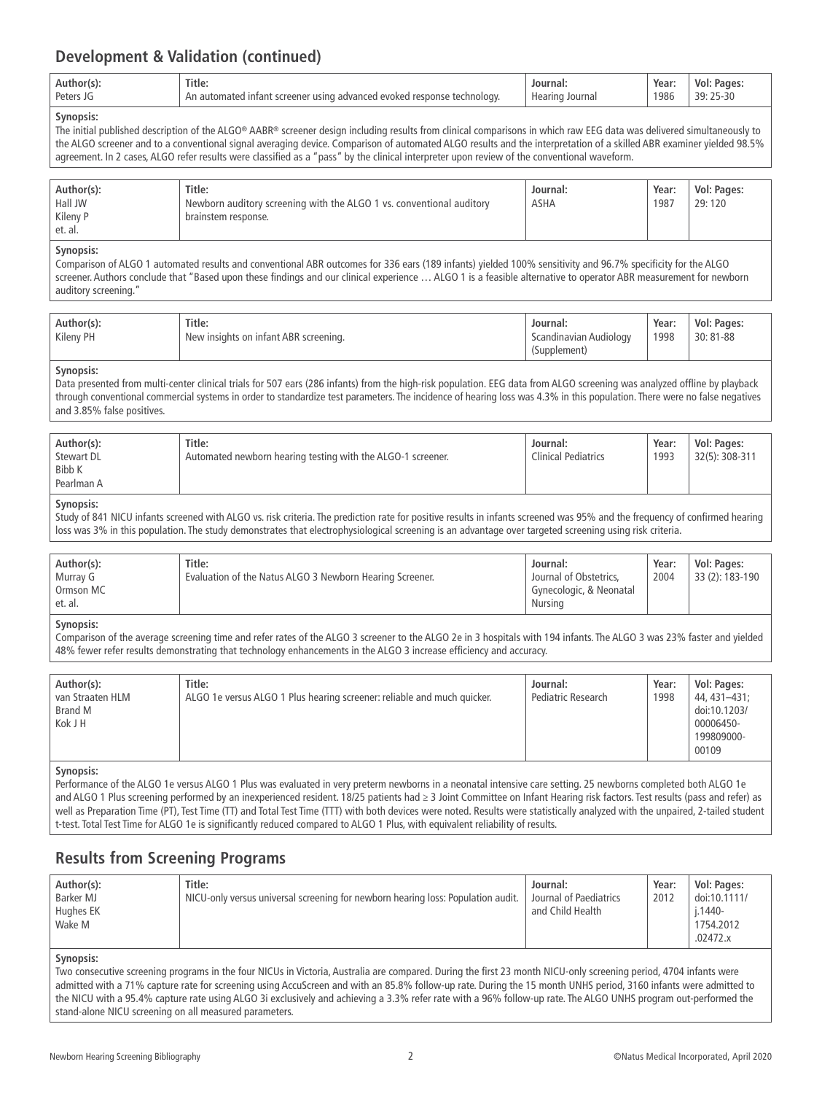### **Development & Validation (continued)**

| Title.<br>Author(s).<br>Peters<br>AVOKAD<br>advanced e<br>' resnonse<br>chnology.<br>using<br>Ar<br><b>Creener</b><br>JU. | lournal.<br>Hearing<br>Journal | Year:<br>1986<br>. | Vol.<br>: Pages:<br>25-30<br>⊋Q∙ |
|---------------------------------------------------------------------------------------------------------------------------|--------------------------------|--------------------|----------------------------------|
|---------------------------------------------------------------------------------------------------------------------------|--------------------------------|--------------------|----------------------------------|

#### **Synopsis:**

The initial published description of the ALGO® AABR® screener design including results from clinical comparisons in which raw EEG data was delivered simultaneously to the ALGO screener and to a conventional signal averaging device. Comparison of automated ALGO results and the interpretation of a skilled ABR examiner yielded 98.5% agreement. In 2 cases, ALGO refer results were classified as a "pass" by the clinical interpreter upon review of the conventional waveform.

| Author(s):<br>Hall JW<br>Kileny P | Title:<br><sup>1</sup> Newborn auditory screening with the ALGO 1 vs. conventional auditory<br>brainstem response. | Journal:<br><b>ASHA</b> | Year:<br>1987 | Vol: Pages:<br>29:120 |
|-----------------------------------|--------------------------------------------------------------------------------------------------------------------|-------------------------|---------------|-----------------------|
| et. al.                           |                                                                                                                    |                         |               |                       |

#### **Synopsis:**

Comparison of ALGO 1 automated results and conventional ABR outcomes for 336 ears (189 infants) yielded 100% sensitivity and 96.7% specificity for the ALGO screener. Authors conclude that "Based upon these findings and our clinical experience … ALGO 1 is a feasible alternative to operator ABR measurement for newborn auditory screening."

| Author(s):<br>Kileny PH | Title:<br>New insights on infant ABR screening. | Journal:<br>Scandinavian Audiology<br>(Supplement) | Year:<br>1998 | Vol: Pages:<br>30:81-88 |
|-------------------------|-------------------------------------------------|----------------------------------------------------|---------------|-------------------------|
|                         |                                                 |                                                    |               |                         |

#### **Synopsis:**

Data presented from multi-center clinical trials for 507 ears (286 infants) from the high-risk population. EEG data from ALGO screening was analyzed offline by playback through conventional commercial systems in order to standardize test parameters. The incidence of hearing loss was 4.3% in this population. There were no false negatives and 3.85% false positives.

| Author(s):<br>Stewart DL<br>Bibb K<br>Pearlman A | Title:<br>Automated newborn hearing testing with the ALGO-1 screener. | Journal:<br><b>Clinical Pediatrics</b> | Year:<br>1993 | Vol: Pages:<br>32(5): 308-311 |
|--------------------------------------------------|-----------------------------------------------------------------------|----------------------------------------|---------------|-------------------------------|
|--------------------------------------------------|-----------------------------------------------------------------------|----------------------------------------|---------------|-------------------------------|

#### **Synopsis:**

Study of 841 NICU infants screened with ALGO vs. risk criteria. The prediction rate for positive results in infants screened was 95% and the frequency of confirmed hearing loss was 3% in this population. The study demonstrates that electrophysiological screening is an advantage over targeted screening using risk criteria.

| Author(s): | Title:                                                   | Journal:                | Year: | Vol: Pages:     |
|------------|----------------------------------------------------------|-------------------------|-------|-----------------|
| Murray G   | Evaluation of the Natus ALGO 3 Newborn Hearing Screener. | Journal of Obstetrics.  | 2004  | 33 (2): 183-190 |
| Ormson MC  |                                                          | Gynecologic, & Neonatal |       |                 |
| et. al.    |                                                          | Nursina                 |       |                 |

#### **Synopsis:**

Comparison of the average screening time and refer rates of the ALGO 3 screener to the ALGO 2e in 3 hospitals with 194 infants. The ALGO 3 was 23% faster and yielded 48% fewer refer results demonstrating that technology enhancements in the ALGO 3 increase efficiency and accuracy.

| Author(s):<br>van Straaten HLM<br>Brand M<br>Kok J H | Title:<br>ALGO 1e versus ALGO 1 Plus hearing screener: reliable and much quicker. | Journal:<br>Pediatric Research | Year:<br>1998 | Vol: Pages:<br>44, 431-431;<br>doi:10.1203/<br>00006450-<br>199809000- |
|------------------------------------------------------|-----------------------------------------------------------------------------------|--------------------------------|---------------|------------------------------------------------------------------------|
|                                                      |                                                                                   |                                |               | 00109                                                                  |

#### **Synopsis:**

Performance of the ALGO 1e versus ALGO 1 Plus was evaluated in very preterm newborns in a neonatal intensive care setting. 25 newborns completed both ALGO 1e and ALGO 1 Plus screening performed by an inexperienced resident. 18/25 patients had ≥ 3 Joint Committee on Infant Hearing risk factors. Test results (pass and refer) as well as Preparation Time (PT), Test Time (TT) and Total Test Time (TTT) with both devices were noted. Results were statistically analyzed with the unpaired, 2-tailed student t-test. Total Test Time for ALGO 1e is significantly reduced compared to ALGO 1 Plus, with equivalent reliability of results.

### **Results from Screening Programs**

| Author(s):<br>Barker MJ<br>Hughes EK<br>Wake M | Title:<br>NICU-only versus universal screening for newborn hearing loss: Population audit. | Journal:<br>Journal of Paediatrics<br>and Child Health | Year:<br>2012 | Vol: Pages:<br>doi:10.1111/<br>i.1440-<br>1754.2012<br>.02472.x |
|------------------------------------------------|--------------------------------------------------------------------------------------------|--------------------------------------------------------|---------------|-----------------------------------------------------------------|
| Synopsis:                                      |                                                                                            |                                                        |               |                                                                 |

#### Two consecutive screening programs in the four NICUs in Victoria, Australia are compared. During the first 23 month NICU-only screening period, 4704 infants were admitted with a 71% capture rate for screening using AccuScreen and with an 85.8% follow-up rate. During the 15 month UNHS period, 3160 infants were admitted to the NICU with a 95.4% capture rate using ALGO 3i exclusively and achieving a 3.3% refer rate with a 96% follow-up rate. The ALGO UNHS program out-performed the stand-alone NICU screening on all measured parameters.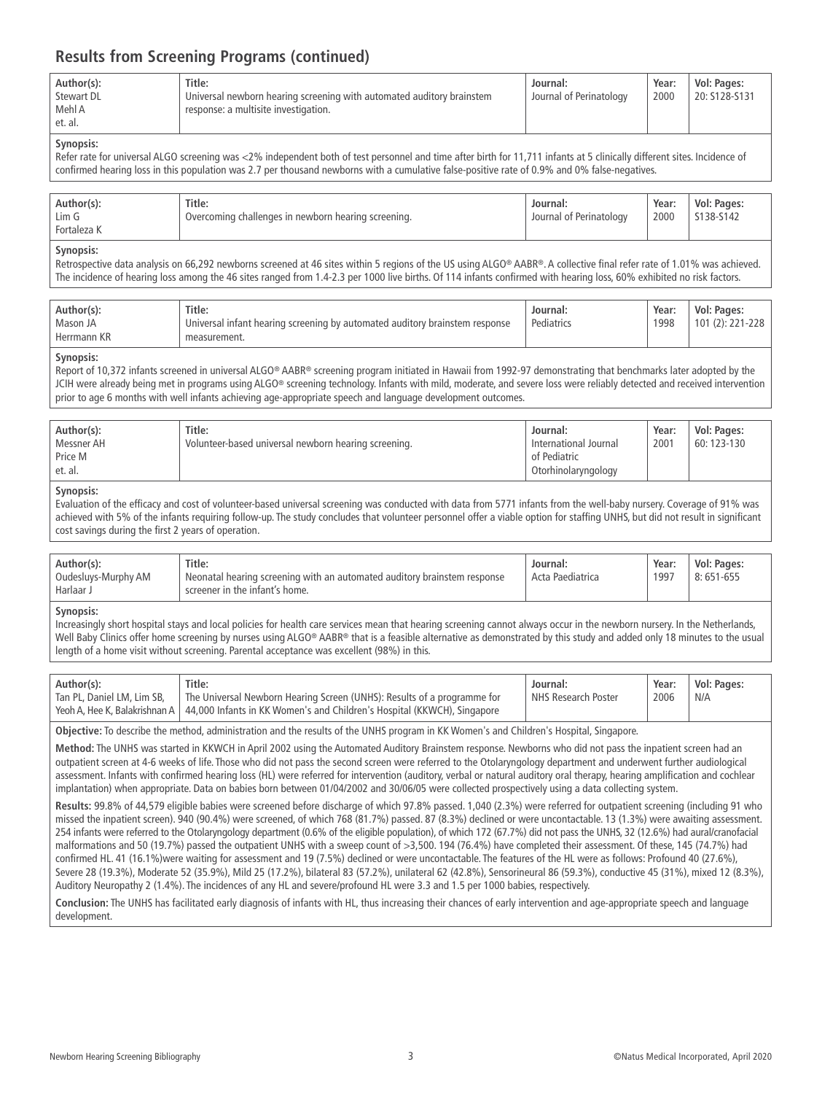| Author(s):<br><b>Stewart DL</b><br>Mehl A<br>et. al. | Title:<br>Universal newborn hearing screening with automated auditory brainstem<br>response: a multisite investigation. | Journal:<br>Journal of Perinatology | Year:<br>2000 | Vol: Pages:<br>20: S128-S131 |
|------------------------------------------------------|-------------------------------------------------------------------------------------------------------------------------|-------------------------------------|---------------|------------------------------|
|                                                      |                                                                                                                         |                                     |               |                              |

#### **Synopsis:**

Refer rate for universal ALGO screening was <2% independent both of test personnel and time after birth for 11,711 infants at 5 clinically different sites. Incidence of confirmed hearing loss in this population was 2.7 per thousand newborns with a cumulative false-positive rate of 0.9% and 0% false-negatives.

| Fortaleza K |
|-------------|
|-------------|

#### **Synopsis:**

Retrospective data analysis on 66,292 newborns screened at 46 sites within 5 regions of the US using ALGO® AABR®. A collective final refer rate of 1.01% was achieved. The incidence of hearing loss among the 46 sites ranged from 1.4-2.3 per 1000 live births. Of 114 infants confirmed with hearing loss, 60% exhibited no risk factors.

| Author(s):  | Title:                                                                      | Journal:   | Year: | Vol: Pages:      |
|-------------|-----------------------------------------------------------------------------|------------|-------|------------------|
| Mason JA    | Universal infant hearing screening by automated auditory brainstem response | Pediatrics | 1998  | 101 (2): 221-228 |
| Herrmann KR | measurement.                                                                |            |       |                  |

#### **Synopsis:**

Report of 10,372 infants screened in universal ALGO® AABR® screening program initiated in Hawaii from 1992-97 demonstrating that benchmarks later adopted by the JCIH were already being met in programs using ALGO® screening technology. Infants with mild, moderate, and severe loss were reliably detected and received intervention prior to age 6 months with well infants achieving age-appropriate speech and language development outcomes.

| Author(s):<br>Messner AH<br>Price M | Title:<br>Volunteer-based universal newborn hearing screening. | Journal:<br>International Journal<br>of Pediatric | Year:<br>2001 | Vol: Pages:<br>60: 123-130 |
|-------------------------------------|----------------------------------------------------------------|---------------------------------------------------|---------------|----------------------------|
| et. al.                             |                                                                | Otorhinolaryngology                               |               |                            |

#### **Synopsis:**

Evaluation of the efficacy and cost of volunteer-based universal screening was conducted with data from 5771 infants from the well-baby nursery. Coverage of 91% was achieved with 5% of the infants requiring follow-up. The study concludes that volunteer personnel offer a viable option for staffing UNHS, but did not result in significant cost savings during the first 2 years of operation.

| Author(s):<br>Oudesluys-Murphy AM<br>Harlaar J | Title:<br>Neonatal hearing screening with an automated auditory brainstem response<br>screener in the infant's home. | Journal:<br>Acta Paediatrica | Year:<br>1997 | Vol: Pages:<br>$8:651-655$ |  |
|------------------------------------------------|----------------------------------------------------------------------------------------------------------------------|------------------------------|---------------|----------------------------|--|
|------------------------------------------------|----------------------------------------------------------------------------------------------------------------------|------------------------------|---------------|----------------------------|--|

#### **Synopsis:**

Increasingly short hospital stays and local policies for health care services mean that hearing screening cannot always occur in the newborn nursery. In the Netherlands, Well Baby Clinics offer home screening by nurses using ALGO® AABR® that is a feasible alternative as demonstrated by this study and added only 18 minutes to the usual length of a home visit without screening. Parental acceptance was excellent (98%) in this.

| Author(s):                   | Title:                                                                                                                                                                             | Journal:            | Year: | Vol: Pages: |
|------------------------------|------------------------------------------------------------------------------------------------------------------------------------------------------------------------------------|---------------------|-------|-------------|
| l Tan PL, Daniel LM, Lim SB, | The Universal Newborn Hearing Screen (UNHS): Results of a programme for<br>Yeoh A, Hee K, Balakrishnan A   44,000 Infants in KK Women's and Children's Hospital (KKWCH), Singapore | NHS Research Poster | 2006  | N/A         |

**Objective:** To describe the method, administration and the results of the UNHS program in KK Women's and Children's Hospital, Singapore.

**Method:** The UNHS was started in KKWCH in April 2002 using the Automated Auditory Brainstem response. Newborns who did not pass the inpatient screen had an outpatient screen at 4-6 weeks of life. Those who did not pass the second screen were referred to the Otolaryngology department and underwent further audiological assessment. Infants with confirmed hearing loss (HL) were referred for intervention (auditory, verbal or natural auditory oral therapy, hearing amplification and cochlear implantation) when appropriate. Data on babies born between 01/04/2002 and 30/06/05 were collected prospectively using a data collecting system.

**Results:** 99.8% of 44,579 eligible babies were screened before discharge of which 97.8% passed. 1,040 (2.3%) were referred for outpatient screening (including 91 who missed the inpatient screen). 940 (90.4%) were screened, of which 768 (81.7%) passed. 87 (8.3%) declined or were uncontactable. 13 (1.3%) were awaiting assessment. 254 infants were referred to the Otolaryngology department (0.6% of the eligible population), of which 172 (67.7%) did not pass the UNHS, 32 (12.6%) had aural/cranofacial malformations and 50 (19.7%) passed the outpatient UNHS with a sweep count of >3,500. 194 (76.4%) have completed their assessment. Of these, 145 (74.7%) had confirmed HL. 41 (16.1%)were waiting for assessment and 19 (7.5%) declined or were uncontactable. The features of the HL were as follows: Profound 40 (27.6%), Severe 28 (19.3%), Moderate 52 (35.9%), Mild 25 (17.2%), bilateral 83 (57.2%), unilateral 62 (42.8%), Sensorineural 86 (59.3%), conductive 45 (31%), mixed 12 (8.3%), Auditory Neuropathy 2 (1.4%). The incidences of any HL and severe/profound HL were 3.3 and 1.5 per 1000 babies, respectively.

**Conclusion:** The UNHS has facilitated early diagnosis of infants with HL, thus increasing their chances of early intervention and age-appropriate speech and language development.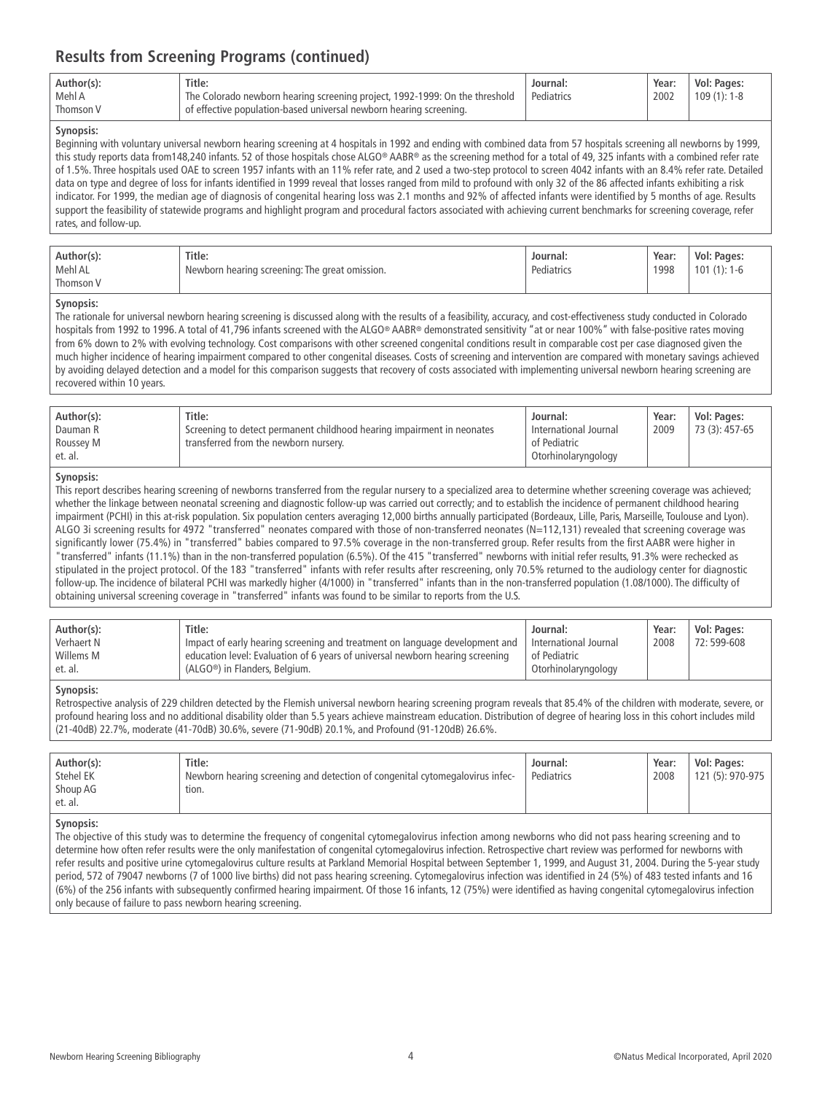| Title:<br>Author(s):<br>Mehl A<br>The Colorado newborn hearing screening project, 1992-1999: On the threshold<br>of effective population-based universal newborn hearing screening.<br>Thomson V | Journal:<br>Pediatrics | Year:<br>2002 | Vol: Pages:<br>$109(1): 1-8$ |
|--------------------------------------------------------------------------------------------------------------------------------------------------------------------------------------------------|------------------------|---------------|------------------------------|
|--------------------------------------------------------------------------------------------------------------------------------------------------------------------------------------------------|------------------------|---------------|------------------------------|

#### **Synopsis:**

Beginning with voluntary universal newborn hearing screening at 4 hospitals in 1992 and ending with combined data from 57 hospitals screening all newborns by 1999, this study reports data from148,240 infants. 52 of those hospitals chose ALGO® AABR® as the screening method for a total of 49, 325 infants with a combined refer rate of 1.5%. Three hospitals used OAE to screen 1957 infants with an 11% refer rate, and 2 used a two-step protocol to screen 4042 infants with an 8.4% refer rate. Detailed data on type and degree of loss for infants identified in 1999 reveal that losses ranged from mild to profound with only 32 of the 86 affected infants exhibiting a risk indicator. For 1999, the median age of diagnosis of congenital hearing loss was 2.1 months and 92% of affected infants were identified by 5 months of age. Results support the feasibility of statewide programs and highlight program and procedural factors associated with achieving current benchmarks for screening coverage, refer rates, and follow-up.

| Author(s):<br>Mehl AL<br>Thomson V | Title:<br>Newborn hearing screening: The great omission. | Journal:<br>Pediatrics | Year:<br>1998 | Vol: Pages:<br>$101(1): 1-6$ |
|------------------------------------|----------------------------------------------------------|------------------------|---------------|------------------------------|
|------------------------------------|----------------------------------------------------------|------------------------|---------------|------------------------------|

#### **Synopsis:**

The rationale for universal newborn hearing screening is discussed along with the results of a feasibility, accuracy, and cost-effectiveness study conducted in Colorado hospitals from 1992 to 1996. A total of 41,796 infants screened with the ALGO® AABR® demonstrated sensitivity "at or near 100%" with false-positive rates moving from 6% down to 2% with evolving technology. Cost comparisons with other screened congenital conditions result in comparable cost per case diagnosed given the much higher incidence of hearing impairment compared to other congenital diseases. Costs of screening and intervention are compared with monetary savings achieved by avoiding delayed detection and a model for this comparison suggests that recovery of costs associated with implementing universal newborn hearing screening are recovered within 10 years.

| Author(s):<br>Dauman R<br>Roussey M<br>et. al. | Title:<br>Screening to detect permanent childhood hearing impairment in neonates<br>transferred from the newborn nursery. | Journal:<br>International Journal<br>of Pediatric<br>Otorhinolaryngology | Year:<br>2009 | Vol: Pages:<br>73 (3): 457-65 |
|------------------------------------------------|---------------------------------------------------------------------------------------------------------------------------|--------------------------------------------------------------------------|---------------|-------------------------------|
|------------------------------------------------|---------------------------------------------------------------------------------------------------------------------------|--------------------------------------------------------------------------|---------------|-------------------------------|

#### **Synopsis:**

This report describes hearing screening of newborns transferred from the regular nursery to a specialized area to determine whether screening coverage was achieved; whether the linkage between neonatal screening and diagnostic follow-up was carried out correctly; and to establish the incidence of permanent childhood hearing impairment (PCHI) in this at-risk population. Six population centers averaging 12,000 births annually participated (Bordeaux, Lille, Paris, Marseille, Toulouse and Lyon). ALGO 3i screening results for 4972 "transferred" neonates compared with those of non-transferred neonates (N=112,131) revealed that screening coverage was significantly lower (75.4%) in "transferred" babies compared to 97.5% coverage in the non-transferred group. Refer results from the first AABR were higher in "transferred" infants (11.1%) than in the non-transferred population (6.5%). Of the 415 "transferred" newborns with initial refer results, 91.3% were rechecked as stipulated in the project protocol. Of the 183 "transferred" infants with refer results after rescreening, only 70.5% returned to the audiology center for diagnostic follow-up. The incidence of bilateral PCHI was markedly higher (4/1000) in "transferred" infants than in the non-transferred population (1.08/1000). The difficulty of obtaining universal screening coverage in "transferred" infants was found to be similar to reports from the U.S.

| Author(s): | Title:                                                                        | Journal:              | Year: | Vol: Pages: |
|------------|-------------------------------------------------------------------------------|-----------------------|-------|-------------|
| Verhaert N | Impact of early hearing screening and treatment on language development and   | International Journal | 2008  | 72:599-608  |
| Willems M  | education level: Evaluation of 6 years of universal newborn hearing screening | of Pediatric          |       |             |
| et. al.    | (ALGO <sup>®</sup> ) in Flanders, Belgium.                                    | Otorhinolaryngology   |       |             |

#### **Synopsis:**

Retrospective analysis of 229 children detected by the Flemish universal newborn hearing screening program reveals that 85.4% of the children with moderate, severe, or profound hearing loss and no additional disability older than 5.5 years achieve mainstream education. Distribution of degree of hearing loss in this cohort includes mild (21-40dB) 22.7%, moderate (41-70dB) 30.6%, severe (71-90dB) 20.1%, and Profound (91-120dB) 26.6%.

| Author(s):<br>Stehel EK<br>Shoup AG<br>et. al. | Title:<br>Newborn hearing screening and detection of congenital cytomegalovirus infec-<br>tion. | Journal:<br>Pediatrics | Year:<br>2008 | Vol: Pages:<br>121 (5): 970-975 |
|------------------------------------------------|-------------------------------------------------------------------------------------------------|------------------------|---------------|---------------------------------|
|------------------------------------------------|-------------------------------------------------------------------------------------------------|------------------------|---------------|---------------------------------|

#### **Synopsis:**

The objective of this study was to determine the frequency of congenital cytomegalovirus infection among newborns who did not pass hearing screening and to determine how often refer results were the only manifestation of congenital cytomegalovirus infection. Retrospective chart review was performed for newborns with refer results and positive urine cytomegalovirus culture results at Parkland Memorial Hospital between September 1, 1999, and August 31, 2004. During the 5-year study period, 572 of 79047 newborns (7 of 1000 live births) did not pass hearing screening. Cytomegalovirus infection was identified in 24 (5%) of 483 tested infants and 16 (6%) of the 256 infants with subsequently confirmed hearing impairment. Of those 16 infants, 12 (75%) were identified as having congenital cytomegalovirus infection only because of failure to pass newborn hearing screening.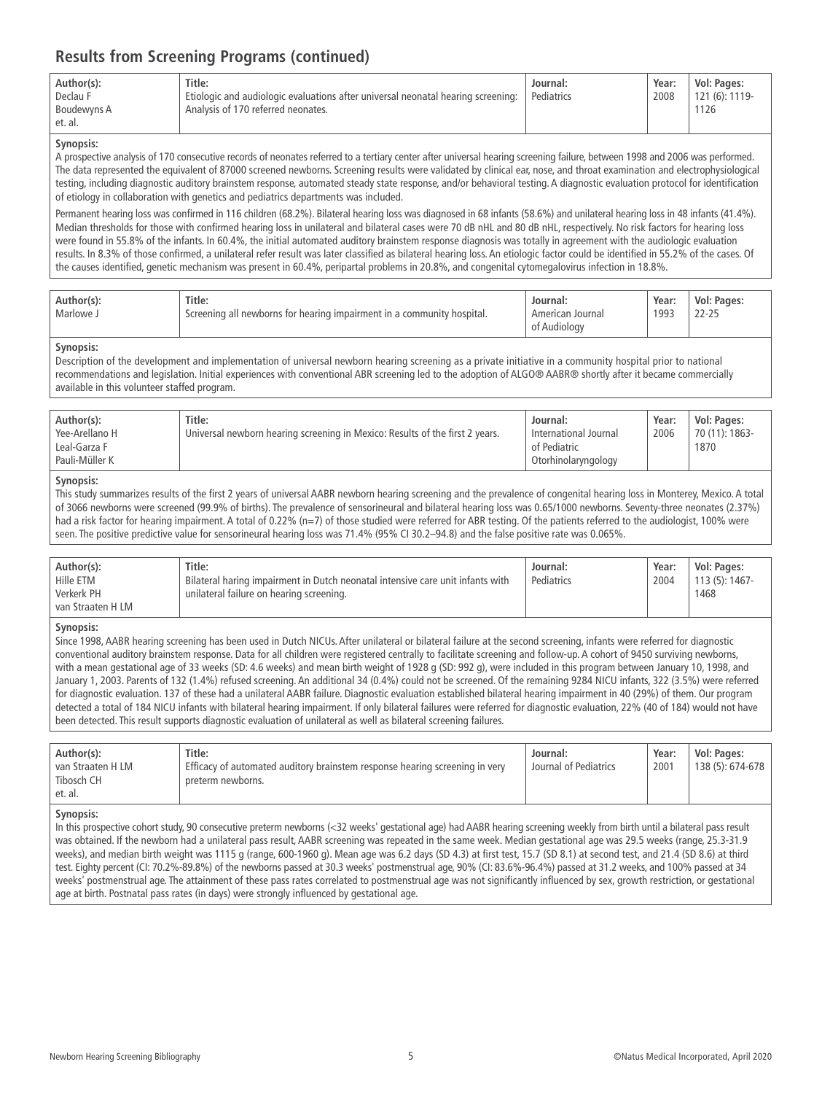| Author(s):             | Title:                                                                           | Journal:   | Year: | Vol: Pages:    |
|------------------------|----------------------------------------------------------------------------------|------------|-------|----------------|
| Declau F               | Etiologic and audiologic evaluations after universal neonatal hearing screening: | Pediatrics | 2008  | 121 (6): 1119- |
| Boudewyns A<br>et. al. | Analysis of 170 referred neonates.                                               |            |       | 1126           |

#### **Synopsis:**

A prospective analysis of 170 consecutive records of neonates referred to a tertiary center after universal hearing screening failure, between 1998 and 2006 was performed. The data represented the equivalent of 87000 screened newborns. Screening results were validated by clinical ear, nose, and throat examination and electrophysiological testing, including diagnostic auditory brainstem response, automated steady state response, and/or behavioral testing. A diagnostic evaluation protocol for identification of etiology in collaboration with genetics and pediatrics departments was included.

Permanent hearing loss was confirmed in 116 children (68.2%). Bilateral hearing loss was diagnosed in 68 infants (58.6%) and unilateral hearing loss in 48 infants (41.4%). Median thresholds for those with confirmed hearing loss in unilateral and bilateral cases were 70 dB nHL and 80 dB nHL, respectively. No risk factors for hearing loss were found in 55.8% of the infants. In 60.4%, the initial automated auditory brainstem response diagnosis was totally in agreement with the audiologic evaluation results. In 8.3% of those confirmed, a unilateral refer result was later classified as bilateral hearing loss. An etiologic factor could be identified in 55.2% of the cases. Of the causes identified, genetic mechanism was present in 60.4%, peripartal problems in 20.8%, and congenital cytomegalovirus infection in 18.8%.

| Title:<br>Author(s):<br>ر Marlowe<br>Screening all newborns for hearing impairment in a community hospital. | Journal:<br>Journal<br>American<br>of Audiology | Year:<br>1993 | Vol: Pages:<br>$22 - 25$ |
|-------------------------------------------------------------------------------------------------------------|-------------------------------------------------|---------------|--------------------------|
|-------------------------------------------------------------------------------------------------------------|-------------------------------------------------|---------------|--------------------------|

#### **Synopsis:**

Description of the development and implementation of universal newborn hearing screening as a private initiative in a community hospital prior to national recommendations and legislation. Initial experiences with conventional ABR screening led to the adoption of ALGO® AABR® shortly after it became commercially available in this volunteer staffed program.

| Author(s):<br>Yee-Arellano H<br>Leal-Garza F<br>Pauli-Müller K | Title:<br>Universal newborn hearing screening in Mexico: Results of the first 2 years. | Journal:<br>International Journal<br>of Pediatric | Year:<br>2006 | Vol: Pages:<br>70 (11): 1863-<br>1870 |
|----------------------------------------------------------------|----------------------------------------------------------------------------------------|---------------------------------------------------|---------------|---------------------------------------|
|                                                                |                                                                                        | Otorhinolaryngology                               |               |                                       |

#### **Synopsis:**

This study summarizes results of the first 2 years of universal AABR newborn hearing screening and the prevalence of congenital hearing loss in Monterey, Mexico. A total of 3066 newborns were screened (99.9% of births). The prevalence of sensorineural and bilateral hearing loss was 0.65/1000 newborns. Seventy-three neonates (2.37%) had a risk factor for hearing impairment. A total of 0.22% (n=7) of those studied were referred for ABR testing. Of the patients referred to the audiologist, 100% were seen. The positive predictive value for sensorineural hearing loss was 71.4% (95% CI 30.2–94.8) and the false positive rate was 0.065%.

| Author(s):        | Title:                                                                         | Journal:   | Year: | Vol: Pages:     |
|-------------------|--------------------------------------------------------------------------------|------------|-------|-----------------|
| Hille ETM         | Bilateral haring impairment in Dutch neonatal intensive care unit infants with | Pediatrics | 2004  | $113(5): 1467-$ |
| Verkerk PH        | unilateral failure on hearing screening.                                       |            |       | 1468            |
| van Straaten H LM |                                                                                |            |       |                 |

#### **Synopsis:**

Since 1998, AABR hearing screening has been used in Dutch NICUs. After unilateral or bilateral failure at the second screening, infants were referred for diagnostic conventional auditory brainstem response. Data for all children were registered centrally to facilitate screening and follow-up. A cohort of 9450 surviving newborns, with a mean gestational age of 33 weeks (SD: 4.6 weeks) and mean birth weight of 1928 g (SD: 992 g), were included in this program between January 10, 1998, and January 1, 2003. Parents of 132 (1.4%) refused screening. An additional 34 (0.4%) could not be screened. Of the remaining 9284 NICU infants, 322 (3.5%) were referred for diagnostic evaluation. 137 of these had a unilateral AABR failure. Diagnostic evaluation established bilateral hearing impairment in 40 (29%) of them. Our program detected a total of 184 NICU infants with bilateral hearing impairment. If only bilateral failures were referred for diagnostic evaluation, 22% (40 of 184) would not have been detected. This result supports diagnostic evaluation of unilateral as well as bilateral screening failures.

| et. al.                                                                                                                    |                          |
|----------------------------------------------------------------------------------------------------------------------------|--------------------------|
|                                                                                                                            |                          |
| Tibosch CH<br>preterm newborns.                                                                                            |                          |
| Journal of Pediatrics<br>Efficacy of automated auditory brainstem response hearing screening in very<br>'van Straaten H LM | 138 (5): 674-678<br>2001 |
| Title:<br>Author(s):<br>Journal:                                                                                           | Vol: Pages:<br>Year:     |

#### **Synopsis:**

In this prospective cohort study, 90 consecutive preterm newborns (<32 weeks' gestational age) had AABR hearing screening weekly from birth until a bilateral pass result was obtained. If the newborn had a unilateral pass result, AABR screening was repeated in the same week. Median gestational age was 29.5 weeks (range, 25.3-31.9 weeks), and median birth weight was 1115 g (range, 600-1960 g). Mean age was 6.2 days (SD 4.3) at first test, 15.7 (SD 8.1) at second test, and 21.4 (SD 8.6) at third test. Eighty percent (CI: 70.2%-89.8%) of the newborns passed at 30.3 weeks' postmenstrual age, 90% (CI: 83.6%-96.4%) passed at 31.2 weeks, and 100% passed at 34 weeks' postmenstrual age. The attainment of these pass rates correlated to postmenstrual age was not significantly influenced by sex, growth restriction, or gestational age at birth. Postnatal pass rates (in days) were strongly influenced by gestational age.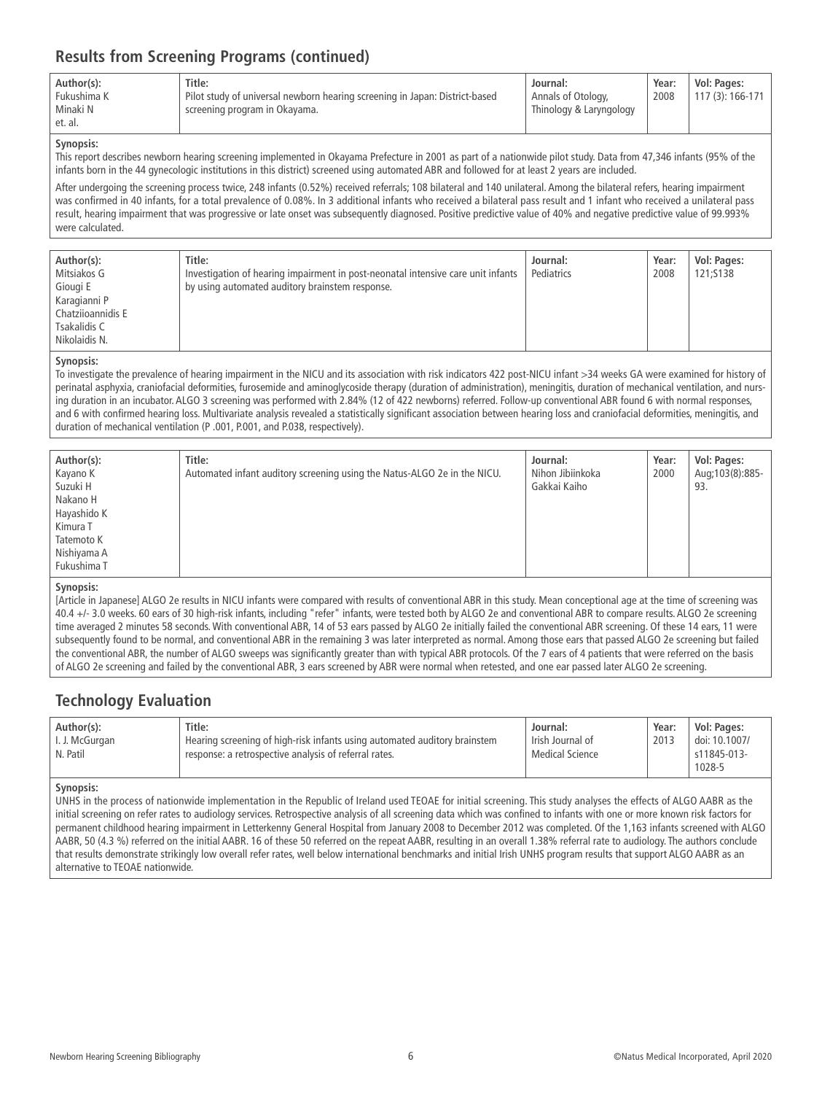| Author(s):<br>Fukushima K<br>Minaki N<br>et. al. | Title:<br>Pilot study of universal newborn hearing screening in Japan: District-based<br>screening program in Okayama. | Journal:<br>Annals of Otology,<br>Thinology & Laryngology | Year:<br>2008 | Vol: Pages:<br>117 (3): 166-171 |
|--------------------------------------------------|------------------------------------------------------------------------------------------------------------------------|-----------------------------------------------------------|---------------|---------------------------------|
|--------------------------------------------------|------------------------------------------------------------------------------------------------------------------------|-----------------------------------------------------------|---------------|---------------------------------|

#### **Synopsis:**

This report describes newborn hearing screening implemented in Okayama Prefecture in 2001 as part of a nationwide pilot study. Data from 47,346 infants (95% of the infants born in the 44 gynecologic institutions in this district) screened using automated ABR and followed for at least 2 years are included.

After undergoing the screening process twice, 248 infants (0.52%) received referrals; 108 bilateral and 140 unilateral. Among the bilateral refers, hearing impairment was confirmed in 40 infants, for a total prevalence of 0.08%. In 3 additional infants who received a bilateral pass result and 1 infant who received a unilateral pass result, hearing impairment that was progressive or late onset was subsequently diagnosed. Positive predictive value of 40% and negative predictive value of 99.993% were calculated.

| Author(s):        | Title:                                                                           | Journal:   | Year: | Vol: Pages: |
|-------------------|----------------------------------------------------------------------------------|------------|-------|-------------|
| Mitsiakos G       | Investigation of hearing impairment in post-neonatal intensive care unit infants | Pediatrics | 2008  | 121:S138    |
| Giougi E          | by using automated auditory brainstem response.                                  |            |       |             |
| Karagianni P      |                                                                                  |            |       |             |
| Chatzijoannidis E |                                                                                  |            |       |             |
| Tsakalidis C      |                                                                                  |            |       |             |
| Nikolaidis N.     |                                                                                  |            |       |             |

#### **Synopsis:**

To investigate the prevalence of hearing impairment in the NICU and its association with risk indicators 422 post-NICU infant >34 weeks GA were examined for history of perinatal asphyxia, craniofacial deformities, furosemide and aminoglycoside therapy (duration of administration), meningitis, duration of mechanical ventilation, and nursing duration in an incubator. ALGO 3 screening was performed with 2.84% (12 of 422 newborns) referred. Follow-up conventional ABR found 6 with normal responses, and 6 with confirmed hearing loss. Multivariate analysis revealed a statistically significant association between hearing loss and craniofacial deformities, meningitis, and duration of mechanical ventilation (P .001, P.001, and P.038, respectively).

| Author(s):  | Title:                                                                   | Journal:         | Year: | Vol: Pages:       |
|-------------|--------------------------------------------------------------------------|------------------|-------|-------------------|
| Kayano K    | Automated infant auditory screening using the Natus-ALGO 2e in the NICU. | Nihon Jibiinkoka | 2000  | Aug; 103(8): 885- |
| Suzuki H    |                                                                          | Gakkai Kaiho     |       | 93.               |
| Nakano H    |                                                                          |                  |       |                   |
| Hayashido K |                                                                          |                  |       |                   |
| Kimura T    |                                                                          |                  |       |                   |
| Tatemoto K  |                                                                          |                  |       |                   |
| Nishiyama A |                                                                          |                  |       |                   |
| Fukushima T |                                                                          |                  |       |                   |

#### **Synopsis:**

[Article in Japanese] ALGO 2e results in NICU infants were compared with results of conventional ABR in this study. Mean conceptional age at the time of screening was 40.4 +/- 3.0 weeks. 60 ears of 30 high-risk infants, including "refer" infants, were tested both by ALGO 2e and conventional ABR to compare results. ALGO 2e screening time averaged 2 minutes 58 seconds. With conventional ABR, 14 of 53 ears passed by ALGO 2e initially failed the conventional ABR screening. Of these 14 ears, 11 were subsequently found to be normal, and conventional ABR in the remaining 3 was later interpreted as normal. Among those ears that passed ALGO 2e screening but failed the conventional ABR, the number of ALGO sweeps was significantly greater than with typical ABR protocols. Of the 7 ears of 4 patients that were referred on the basis of ALGO 2e screening and failed by the conventional ABR, 3 ears screened by ABR were normal when retested, and one ear passed later ALGO 2e screening.

### **Technology Evaluation**

| Author(s):     | Title:                                                                    | Journal:         | Year: | Vol: Pages:   |
|----------------|---------------------------------------------------------------------------|------------------|-------|---------------|
| I. J. McGurgan | Hearing screening of high-risk infants using automated auditory brainstem | Irish Journal of | 2013  | doi: 10.1007/ |
| N. Patil       | response: a retrospective analysis of referral rates.                     | Medical Science  |       | s11845-013-   |
|                |                                                                           |                  |       | 1028-5        |

#### **Synopsis:**

UNHS in the process of nationwide implementation in the Republic of Ireland used TEOAE for initial screening. This study analyses the effects of ALGO AABR as the initial screening on refer rates to audiology services. Retrospective analysis of all screening data which was confined to infants with one or more known risk factors for permanent childhood hearing impairment in Letterkenny General Hospital from January 2008 to December 2012 was completed. Of the 1,163 infants screened with ALGO AABR, 50 (4.3 %) referred on the initial AABR. 16 of these 50 referred on the repeat AABR, resulting in an overall 1.38% referral rate to audiology. The authors conclude that results demonstrate strikingly low overall refer rates, well below international benchmarks and initial Irish UNHS program results that support ALGO AABR as an alternative to TEOAE nationwide.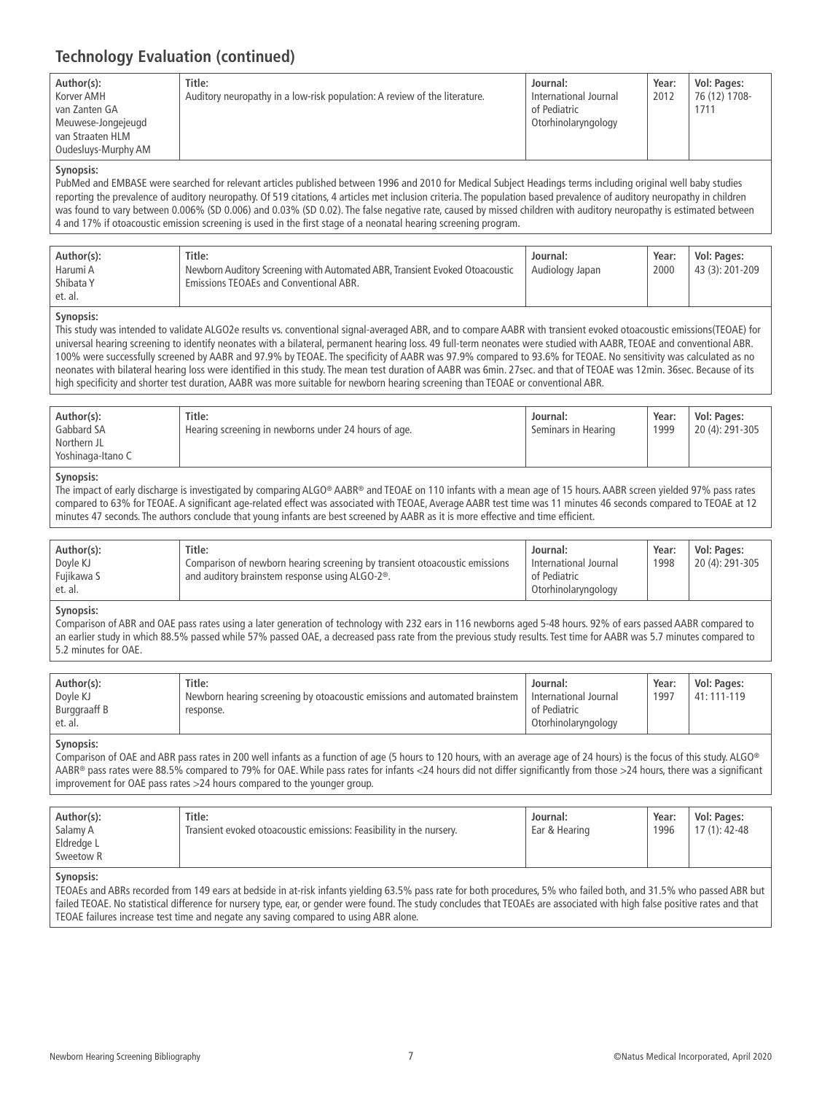# **Technology Evaluation (continued)**

| Author(s):          | Title:                                                                    | Journal:              | Year: | Vol: Pages:   |
|---------------------|---------------------------------------------------------------------------|-----------------------|-------|---------------|
| Korver AMH          | Auditory neuropathy in a low-risk population: A review of the literature. | International Journal | 2012  | 76 (12) 1708- |
| van Zanten GA       |                                                                           | of Pediatric          |       | 1711          |
| Meuwese-Jongejeugd  |                                                                           | Otorhinolaryngology   |       |               |
| van Straaten HLM    |                                                                           |                       |       |               |
| Oudesluys-Murphy AM |                                                                           |                       |       |               |

#### **Synopsis:**

PubMed and EMBASE were searched for relevant articles published between 1996 and 2010 for Medical Subject Headings terms including original well baby studies reporting the prevalence of auditory neuropathy. Of 519 citations, 4 articles met inclusion criteria. The population based prevalence of auditory neuropathy in children was found to vary between 0.006% (SD 0.006) and 0.03% (SD 0.02). The false negative rate, caused by missed children with auditory neuropathy is estimated between 4 and 17% if otoacoustic emission screening is used in the first stage of a neonatal hearing screening program.

| Author(s): | Title:                                                                      | Journal:        | Year: | Vol: Pages:     |
|------------|-----------------------------------------------------------------------------|-----------------|-------|-----------------|
| Harumi A   | Newborn Auditory Screening with Automated ABR, Transient Evoked Otoacoustic | Audiology Japan | 2000  | 43 (3): 201-209 |
| Shibata Y  | <b>Emissions TEOAEs and Conventional ABR.</b>                               |                 |       |                 |
| et. al.    |                                                                             |                 |       |                 |

#### **Synopsis:**

This study was intended to validate ALGO2e results vs. conventional signal-averaged ABR, and to compare AABR with transient evoked otoacoustic emissions(TEOAE) for universal hearing screening to identify neonates with a bilateral, permanent hearing loss. 49 full-term neonates were studied with AABR, TEOAE and conventional ABR. 100% were successfully screened by AABR and 97.9% by TEOAE. The specificity of AABR was 97.9% compared to 93.6% for TEOAE. No sensitivity was calculated as no neonates with bilateral hearing loss were identified in this study. The mean test duration of AABR was 6min. 27sec. and that of TEOAE was 12min. 36sec. Because of its high specificity and shorter test duration, AABR was more suitable for newborn hearing screening than TEOAE or conventional ABR.

| Yoshinaga-Itano C | Author(s):<br>Gabbard SA<br>Northern JL | Title:<br>Hearing screening in newborns under 24 hours of age. | Journal:<br>Seminars in Hearing | Year:<br>1999 | Vol: Pages:<br>20 (4): 291-305 |
|-------------------|-----------------------------------------|----------------------------------------------------------------|---------------------------------|---------------|--------------------------------|
|-------------------|-----------------------------------------|----------------------------------------------------------------|---------------------------------|---------------|--------------------------------|

#### **Synopsis:**

The impact of early discharge is investigated by comparing ALGO® AABR® and TEOAE on 110 infants with a mean age of 15 hours. AABR screen yielded 97% pass rates compared to 63% for TEOAE. A significant age-related effect was associated with TEOAE, Average AABR test time was 11 minutes 46 seconds compared to TEOAE at 12 minutes 47 seconds. The authors conclude that young infants are best screened by AABR as it is more effective and time efficient.

| Title:<br>Author(s):<br>Doyle KJ<br>Comparison of newborn hearing screening by transient otoacoustic emissions<br>Fujikawa S<br>and auditory brainstem response using ALGO-2 <sup>®</sup> .<br>et. al. | Journal:<br>International Journal<br>of Pediatric<br>Otorhinolaryngology | Year:<br>1998 | Vol: Pages:<br>20 (4): 291-305 |
|--------------------------------------------------------------------------------------------------------------------------------------------------------------------------------------------------------|--------------------------------------------------------------------------|---------------|--------------------------------|
|--------------------------------------------------------------------------------------------------------------------------------------------------------------------------------------------------------|--------------------------------------------------------------------------|---------------|--------------------------------|

#### **Synopsis:**

Comparison of ABR and OAE pass rates using a later generation of technology with 232 ears in 116 newborns aged 5-48 hours. 92% of ears passed AABR compared to an earlier study in which 88.5% passed while 57% passed OAE, a decreased pass rate from the previous study results. Test time for AABR was 5.7 minutes compared to 5.2 minutes for OAE.

| Author(s):          | Title:                                                                         | Journal:                | Year: | Vol: Pages: |
|---------------------|--------------------------------------------------------------------------------|-------------------------|-------|-------------|
| Doyle KJ            | The Newborn hearing screening by otoacoustic emissions and automated brainstem | I International Journal | 1997  | 41: 111-119 |
| <b>Burggraaff B</b> | response.                                                                      | of Pediatric            |       |             |
| et. al.             |                                                                                | Otorhinolaryngology     |       |             |

#### **Synopsis:**

Comparison of OAE and ABR pass rates in 200 well infants as a function of age (5 hours to 120 hours, with an average age of 24 hours) is the focus of this study. ALGO® AABR® pass rates were 88.5% compared to 79% for OAE. While pass rates for infants <24 hours did not differ significantly from those >24 hours, there was a significant improvement for OAE pass rates >24 hours compared to the younger group.

| Author(s):<br>Salamy A<br>Eldredge L<br>Sweetow R | Title:<br>Transient evoked otoacoustic emissions: Feasibility in the nursery. | Journal:<br>Ear & Hearing | Year:<br>1996 | Vol: Pages:<br>$17(1): 42-48$ |
|---------------------------------------------------|-------------------------------------------------------------------------------|---------------------------|---------------|-------------------------------|
| Synoncic <sup>.</sup>                             |                                                                               |                           |               |                               |

#### **Synopsis:**

TEOAEs and ABRs recorded from 149 ears at bedside in at-risk infants yielding 63.5% pass rate for both procedures, 5% who failed both, and 31.5% who passed ABR but failed TEOAE. No statistical difference for nursery type, ear, or gender were found. The study concludes that TEOAEs are associated with high false positive rates and that TEOAE failures increase test time and negate any saving compared to using ABR alone.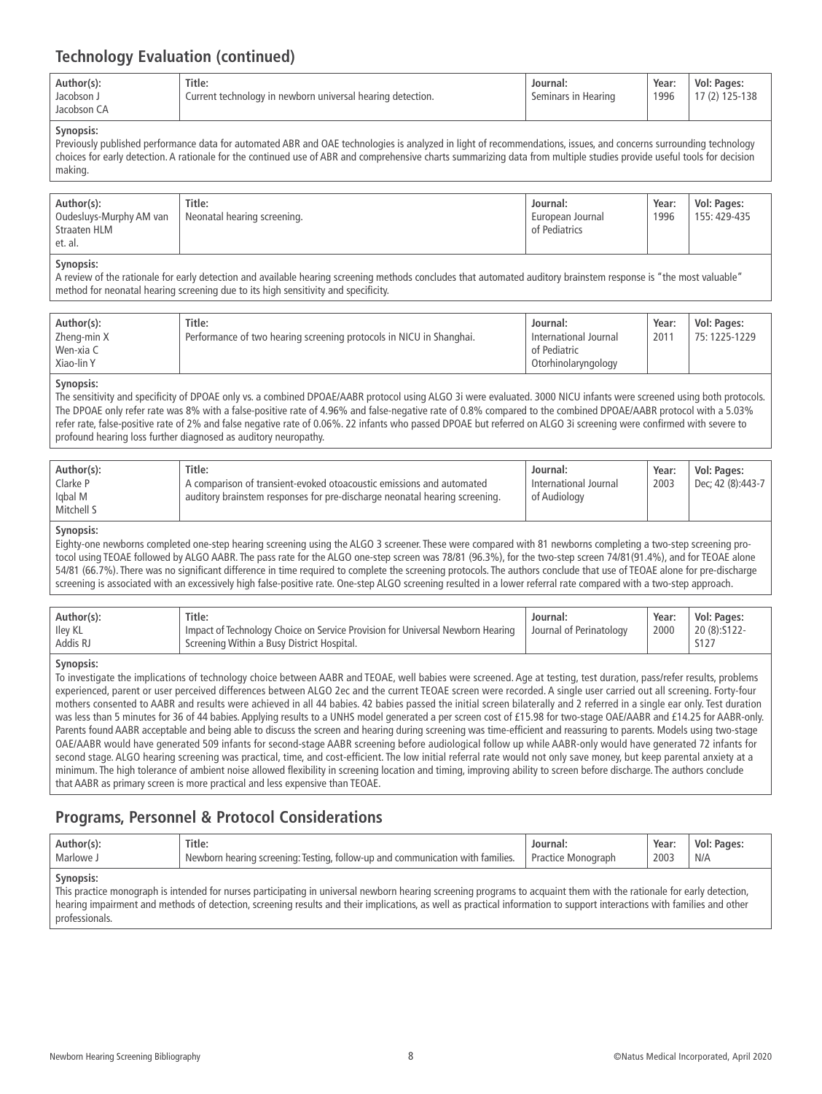### **Technology Evaluation (continued)**

| Author(s):<br>Jacobson J<br>Jacobson CA | Title:<br>Current technology in newborn universal hearing detection. | Journal:<br>Seminars in Hearing | Year:<br>1996 | Vol: Pages:<br>17 (2) 125-138 |
|-----------------------------------------|----------------------------------------------------------------------|---------------------------------|---------------|-------------------------------|
| <b>Synopsis:</b>                        |                                                                      |                                 |               |                               |

Previously published performance data for automated ABR and OAE technologies is analyzed in light of recommendations, issues, and concerns surrounding technology choices for early detection. A rationale for the continued use of ABR and comprehensive charts summarizing data from multiple studies provide useful tools for decision making.

| Author(s):<br>Oudesluys-Murphy AM van<br>Straaten HLM | Title:<br>  Neonatal hearing screening. | Journal:<br>European Journal<br>of Pediatrics | Year:<br>1996 | Vol: Pages:<br>155: 429-435 |
|-------------------------------------------------------|-----------------------------------------|-----------------------------------------------|---------------|-----------------------------|
| et. al.                                               |                                         |                                               |               |                             |

#### **Synopsis:**

A review of the rationale for early detection and available hearing screening methods concludes that automated auditory brainstem response is "the most valuable" method for neonatal hearing screening due to its high sensitivity and specificity.

| Author(s):<br>Zheng-min X<br>Wen-xia C<br>Xiao-lin Y | Title:<br>Performance of two hearing screening protocols in NICU in Shanghai. | Journal:<br>International Journal<br>of Pediatric<br>Otorhinolaryngology | Year:<br>2011 | Vol: Pages:<br>75:1225-1229 |
|------------------------------------------------------|-------------------------------------------------------------------------------|--------------------------------------------------------------------------|---------------|-----------------------------|
|------------------------------------------------------|-------------------------------------------------------------------------------|--------------------------------------------------------------------------|---------------|-----------------------------|

#### **Synopsis:**

The sensitivity and specificity of DPOAE only vs. a combined DPOAE/AABR protocol using ALGO 3i were evaluated. 3000 NICU infants were screened using both protocols. The DPOAE only refer rate was 8% with a false-positive rate of 4.96% and false-negative rate of 0.8% compared to the combined DPOAE/AABR protocol with a 5.03% refer rate, false-positive rate of 2% and false negative rate of 0.06%. 22 infants who passed DPOAE but referred on ALGO 3i screening were confirmed with severe to profound hearing loss further diagnosed as auditory neuropathy.

| Author(s):                        | Title:                                                                                                                                             | Journal:                              | Year: | Vol: Pages:       |
|-----------------------------------|----------------------------------------------------------------------------------------------------------------------------------------------------|---------------------------------------|-------|-------------------|
| Clarke P<br>Iqbal M<br>Mitchell S | A comparison of transient-evoked otoacoustic emissions and automated<br>auditory brainstem responses for pre-discharge neonatal hearing screening. | International Journal<br>of Audiology | 2003  | Dec; 42 (8):443-7 |

#### **Synopsis:**

Eighty-one newborns completed one-step hearing screening using the ALGO 3 screener. These were compared with 81 newborns completing a two-step screening protocol using TEOAE followed by ALGO AABR. The pass rate for the ALGO one-step screen was 78/81 (96.3%), for the two-step screen 74/81(91.4%), and for TEOAE alone 54/81 (66.7%). There was no significant difference in time required to complete the screening protocols. The authors conclude that use of TEOAE alone for pre-discharge screening is associated with an excessively high false-positive rate. One-step ALGO screening resulted in a lower referral rate compared with a two-step approach.

| Author(s):<br>Iley KL<br>Addis RJ | Title:<br>Impact of Technology Choice on Service Provision for Universal Newborn Hearing<br>Screening Within a Busy District Hospital. | Journal:<br>Sournal of Perinatology | Year:<br>2000 | Vol: Pages:<br>$20(8):5122-$ |
|-----------------------------------|----------------------------------------------------------------------------------------------------------------------------------------|-------------------------------------|---------------|------------------------------|
|                                   |                                                                                                                                        |                                     |               |                              |

#### **Synopsis:**

To investigate the implications of technology choice between AABR and TEOAE, well babies were screened. Age at testing, test duration, pass/refer results, problems experienced, parent or user perceived differences between ALGO 2ec and the current TEOAE screen were recorded. A single user carried out all screening. Forty-four mothers consented to AABR and results were achieved in all 44 babies. 42 babies passed the initial screen bilaterally and 2 referred in a single ear only. Test duration was less than 5 minutes for 36 of 44 babies. Applying results to a UNHS model generated a per screen cost of £15.98 for two-stage OAE/AABR and £14.25 for AABR-only. Parents found AABR acceptable and being able to discuss the screen and hearing during screening was time-efficient and reassuring to parents. Models using two-stage OAE/AABR would have generated 509 infants for second-stage AABR screening before audiological follow up while AABR-only would have generated 72 infants for second stage. ALGO hearing screening was practical, time, and cost-efficient. The low initial referral rate would not only save money, but keep parental anxiety at a minimum. The high tolerance of ambient noise allowed flexibility in screening location and timing, improving ability to screen before discharge. The authors conclude that AABR as primary screen is more practical and less expensive than TEOAE.

### **Programs, Personnel & Protocol Considerations**

| . Author(s):                                                                                                                                                                       | Title:                                                                         | Journal:           | Year: | Vol: Pages: |  |
|------------------------------------------------------------------------------------------------------------------------------------------------------------------------------------|--------------------------------------------------------------------------------|--------------------|-------|-------------|--|
| Marlowe J                                                                                                                                                                          | Newborn hearing screening: Testing, follow-up and communication with families. | Practice Monograph | 2003  | N/A         |  |
| Synopsis:<br>This practice monograph is intended for nurses participating in universal newborn hearing screening programs to acquaint them with the rationale for early detection, |                                                                                |                    |       |             |  |

hearing impairment and methods of detection, screening results and their implications, as well as practical information to support interactions with families and other professionals.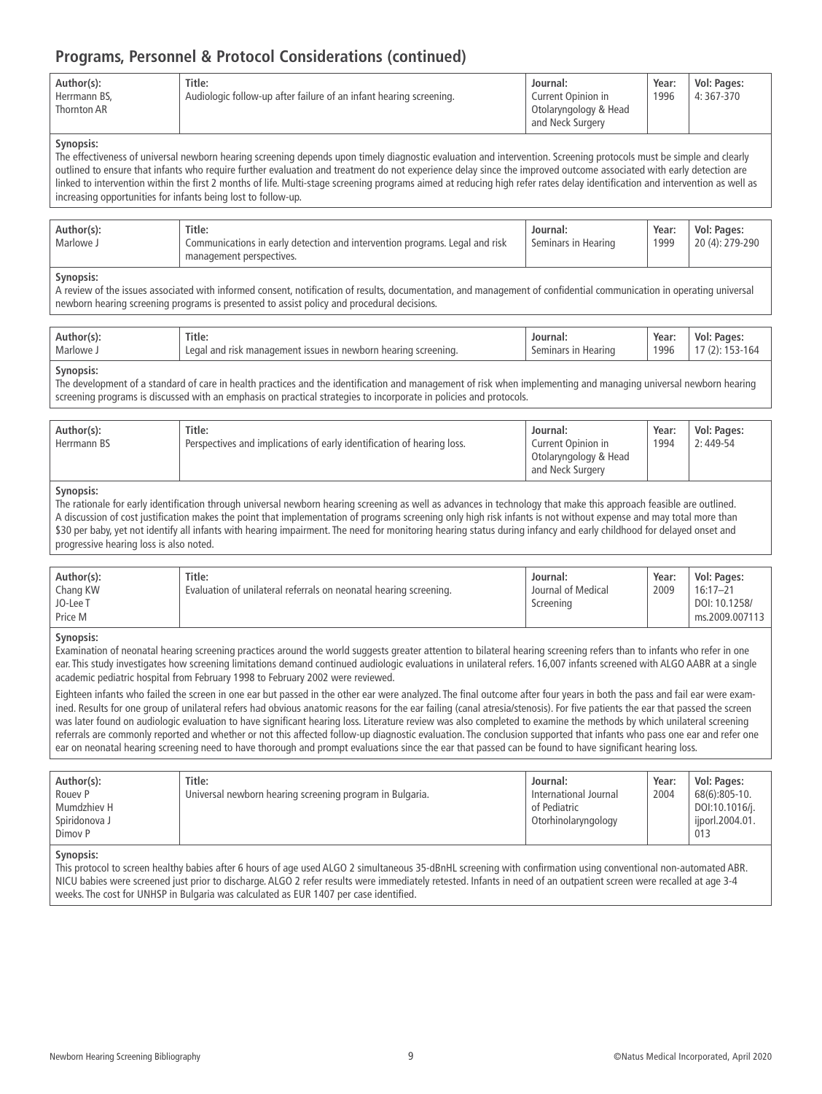### **Programs, Personnel & Protocol Considerations (continued)**

| Author(s):<br>Herrmann BS,<br>Thornton AR | Title:<br>Audiologic follow-up after failure of an infant hearing screening. | Journal:<br>Current Opinion in<br>Otolaryngology & Head<br>and Neck Surgery | Year:<br>1996 | Vol: Pages:<br>4:367-370 |
|-------------------------------------------|------------------------------------------------------------------------------|-----------------------------------------------------------------------------|---------------|--------------------------|
|-------------------------------------------|------------------------------------------------------------------------------|-----------------------------------------------------------------------------|---------------|--------------------------|

#### **Synopsis:**

The effectiveness of universal newborn hearing screening depends upon timely diagnostic evaluation and intervention. Screening protocols must be simple and clearly outlined to ensure that infants who require further evaluation and treatment do not experience delay since the improved outcome associated with early detection are linked to intervention within the first 2 months of life. Multi-stage screening programs aimed at reducing high refer rates delay identification and intervention as well as increasing opportunities for infants being lost to follow-up.

| Title:<br>Author(s):<br>Marlowe J<br>Communications in early detection and intervention programs. Legal and risk<br>management perspectives. | Journal:<br>Seminars in Hearing | Year:<br>1999 | Vol: Pages:<br>20 (4): 279-290 |
|----------------------------------------------------------------------------------------------------------------------------------------------|---------------------------------|---------------|--------------------------------|
|----------------------------------------------------------------------------------------------------------------------------------------------|---------------------------------|---------------|--------------------------------|

#### **Synopsis:**

A review of the issues associated with informed consent, notification of results, documentation, and management of confidential communication in operating universal newborn hearing screening programs is presented to assist policy and procedural decisions.

| Title:<br>arlowe<br>$\Omega$<br>nr | чюн.<br>eening<br>rinc | Year:<br>1996 | VOI.<br>ages.<br>v |
|------------------------------------|------------------------|---------------|--------------------|
|------------------------------------|------------------------|---------------|--------------------|

#### **Synopsis:**

The development of a standard of care in health practices and the identification and management of risk when implementing and managing universal newborn hearing screening programs is discussed with an emphasis on practical strategies to incorporate in policies and protocols.

| Author(s):<br>Herrmann BS | Title:<br>Perspectives and implications of early identification of hearing loss. | Journal:<br>Current Opinion in<br>Otolaryngology & Head<br>and Neck Surgery | Year:<br>1994 | Vol: Pages:<br>$2:449-54$ |  |
|---------------------------|----------------------------------------------------------------------------------|-----------------------------------------------------------------------------|---------------|---------------------------|--|
|---------------------------|----------------------------------------------------------------------------------|-----------------------------------------------------------------------------|---------------|---------------------------|--|

#### **Synopsis:**

The rationale for early identification through universal newborn hearing screening as well as advances in technology that make this approach feasible are outlined. A discussion of cost justification makes the point that implementation of programs screening only high risk infants is not without expense and may total more than \$30 per baby, yet not identify all infants with hearing impairment. The need for monitoring hearing status during infancy and early childhood for delayed onset and progressive hearing loss is also noted.

| Author(s):<br>Chang KW<br>JO-Lee T<br>Price M | Title:<br>Evaluation of unilateral referrals on neonatal hearing screening. | Journal:<br>Journal of Medical<br>Screening | Year:<br>2009 | Vol: Pages:<br>$16:17 - 21$<br>DOI: 10.1258/<br>ms.2009.007113 |
|-----------------------------------------------|-----------------------------------------------------------------------------|---------------------------------------------|---------------|----------------------------------------------------------------|
|-----------------------------------------------|-----------------------------------------------------------------------------|---------------------------------------------|---------------|----------------------------------------------------------------|

#### **Synopsis:**

Examination of neonatal hearing screening practices around the world suggests greater attention to bilateral hearing screening refers than to infants who refer in one ear. This study investigates how screening limitations demand continued audiologic evaluations in unilateral refers. 16,007 infants screened with ALGO AABR at a single academic pediatric hospital from February 1998 to February 2002 were reviewed.

Eighteen infants who failed the screen in one ear but passed in the other ear were analyzed. The final outcome after four years in both the pass and fail ear were examined. Results for one group of unilateral refers had obvious anatomic reasons for the ear failing (canal atresia/stenosis). For five patients the ear that passed the screen was later found on audiologic evaluation to have significant hearing loss. Literature review was also completed to examine the methods by which unilateral screening referrals are commonly reported and whether or not this affected follow-up diagnostic evaluation. The conclusion supported that infants who pass one ear and refer one ear on neonatal hearing screening need to have thorough and prompt evaluations since the ear that passed can be found to have significant hearing loss.

| Author(s):<br>Rouev <sub>P</sub><br>Mumdzhiev H<br>Spiridonova J<br>Dimov P | Title:<br>Universal newborn hearing screening program in Bulgaria. | Journal:<br>International Journal<br>of Pediatric<br>Otorhinolaryngology | Year:<br>2004 | Vol: Pages:<br>68(6):805-10.<br>DOI:10.1016/j.<br>iiporl.2004.01.<br>013 |
|-----------------------------------------------------------------------------|--------------------------------------------------------------------|--------------------------------------------------------------------------|---------------|--------------------------------------------------------------------------|
|-----------------------------------------------------------------------------|--------------------------------------------------------------------|--------------------------------------------------------------------------|---------------|--------------------------------------------------------------------------|

#### **Synopsis:**

This protocol to screen healthy babies after 6 hours of age used ALGO 2 simultaneous 35-dBnHL screening with confirmation using conventional non-automated ABR. NICU babies were screened just prior to discharge. ALGO 2 refer results were immediately retested. Infants in need of an outpatient screen were recalled at age 3-4 weeks. The cost for UNHSP in Bulgaria was calculated as EUR 1407 per case identified.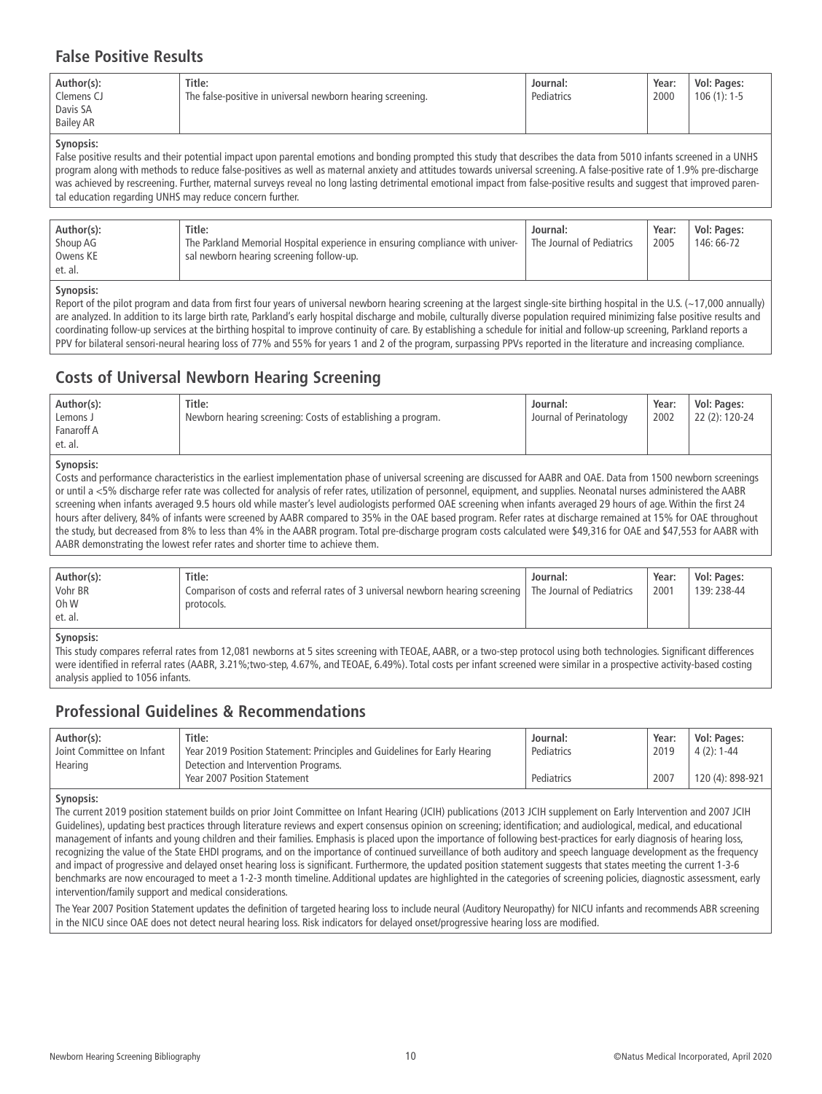### **False Positive Results**

#### **Synopsis:**

False positive results and their potential impact upon parental emotions and bonding prompted this study that describes the data from 5010 infants screened in a UNHS program along with methods to reduce false-positives as well as maternal anxiety and attitudes towards universal screening. A false-positive rate of 1.9% pre-discharge was achieved by rescreening. Further, maternal surveys reveal no long lasting detrimental emotional impact from false-positive results and suggest that improved parental education regarding UNHS may reduce concern further.

|  | Title:<br>Author(s):<br>Shoup AG<br>Owens KE<br>et. al. | The Parkland Memorial Hospital experience in ensuring compliance with univer-<br>sal newborn hearing screening follow-up. | Journal:<br><sup>'</sup> The Journal of Pediatrics | Year:<br>2005 | Vol: Pages:<br>146: 66-72 |
|--|---------------------------------------------------------|---------------------------------------------------------------------------------------------------------------------------|----------------------------------------------------|---------------|---------------------------|
|--|---------------------------------------------------------|---------------------------------------------------------------------------------------------------------------------------|----------------------------------------------------|---------------|---------------------------|

#### **Synopsis:**

Report of the pilot program and data from first four years of universal newborn hearing screening at the largest single-site birthing hospital in the U.S. (~17,000 annually) are analyzed. In addition to its large birth rate, Parkland's early hospital discharge and mobile, culturally diverse population required minimizing false positive results and coordinating follow-up services at the birthing hospital to improve continuity of care. By establishing a schedule for initial and follow-up screening, Parkland reports a PPV for bilateral sensori-neural hearing loss of 77% and 55% for years 1 and 2 of the program, surpassing PPVs reported in the literature and increasing compliance.

### **Costs of Universal Newborn Hearing Screening**

| Author(s):<br>Lemons J<br>Fanaroff A<br>et. al. | Title:<br>Newborn hearing screening: Costs of establishing a program. | Journal:<br>Journal of Perinatology | Year:<br>2002 | Vol: Pages:<br>22 (2): 120-24 |
|-------------------------------------------------|-----------------------------------------------------------------------|-------------------------------------|---------------|-------------------------------|
|-------------------------------------------------|-----------------------------------------------------------------------|-------------------------------------|---------------|-------------------------------|

#### **Synopsis:**

Costs and performance characteristics in the earliest implementation phase of universal screening are discussed for AABR and OAE. Data from 1500 newborn screenings or until a <5% discharge refer rate was collected for analysis of refer rates, utilization of personnel, equipment, and supplies. Neonatal nurses administered the AABR screening when infants averaged 9.5 hours old while master's level audiologists performed OAE screening when infants averaged 29 hours of age. Within the first 24 hours after delivery, 84% of infants were screened by AABR compared to 35% in the OAE based program. Refer rates at discharge remained at 15% for OAE throughout the study, but decreased from 8% to less than 4% in the AABR program. Total pre-discharge program costs calculated were \$49,316 for OAE and \$47,553 for AABR with AABR demonstrating the lowest refer rates and shorter time to achieve them.

| Author(s):<br>Vohr BR<br>Oh W<br>et. al. | Title:<br>Comparison of costs and referral rates of 3 universal newborn hearing screening   The Journal of Pediatrics<br>protocols. | Journal: | Year:<br>2001 | Vol: Pages:<br>139: 238-44 |
|------------------------------------------|-------------------------------------------------------------------------------------------------------------------------------------|----------|---------------|----------------------------|
| Synopcic:                                |                                                                                                                                     |          |               |                            |

#### **Synopsis:**

This study compares referral rates from 12,081 newborns at 5 sites screening with TEOAE, AABR, or a two-step protocol using both technologies. Significant differences were identified in referral rates (AABR, 3.21%;two-step, 4.67%, and TEOAE, 6.49%). Total costs per infant screened were similar in a prospective activity-based costing analysis applied to 1056 infants.

### **Professional Guidelines & Recommendations**

| Author(s):                | Title:                                                                    | Journal:   | Year: | Vol: Pages:      |
|---------------------------|---------------------------------------------------------------------------|------------|-------|------------------|
| Joint Committee on Infant | Year 2019 Position Statement: Principles and Guidelines for Early Hearing | Pediatrics | 2019  | $4(2): 1-44$     |
| Hearing                   | Detection and Intervention Programs.                                      |            |       |                  |
|                           | Year 2007 Position Statement                                              | Pediatrics | 2007  | 120 (4): 898-921 |

#### **Synopsis:**

The current 2019 position statement builds on prior Joint Committee on Infant Hearing (JCIH) publications (2013 JCIH supplement on Early Intervention and 2007 JCIH Guidelines), updating best practices through literature reviews and expert consensus opinion on screening; identification; and audiological, medical, and educational management of infants and young children and their families. Emphasis is placed upon the importance of following best-practices for early diagnosis of hearing loss, recognizing the value of the State EHDI programs, and on the importance of continued surveillance of both auditory and speech language development as the frequency and impact of progressive and delayed onset hearing loss is significant. Furthermore, the updated position statement suggests that states meeting the current 1-3-6 benchmarks are now encouraged to meet a 1-2-3 month timeline. Additional updates are highlighted in the categories of screening policies, diagnostic assessment, early intervention/family support and medical considerations.

The Year 2007 Position Statement updates the definition of targeted hearing loss to include neural (Auditory Neuropathy) for NICU infants and recommends ABR screening in the NICU since OAE does not detect neural hearing loss. Risk indicators for delayed onset/progressive hearing loss are modified.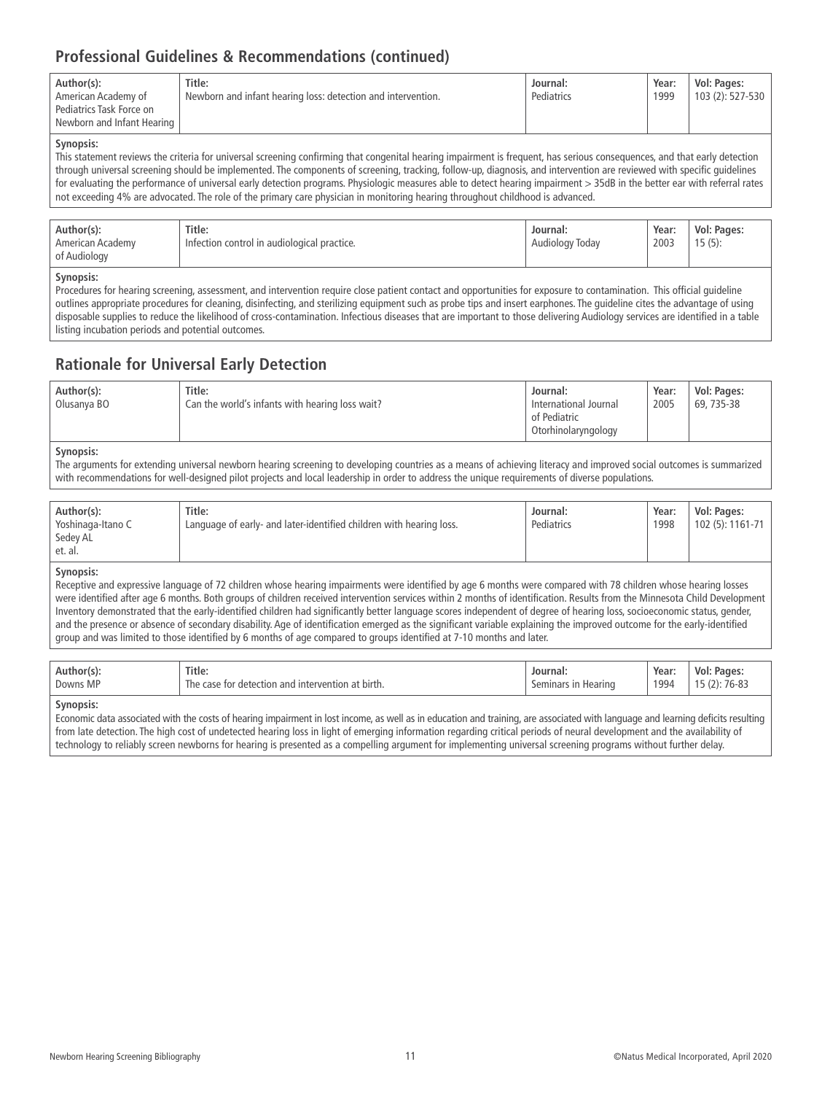# **Professional Guidelines & Recommendations (continued)**

| Author(s):<br>American Academy of<br>Pediatrics Task Force on<br>Newborn and Infant Hearing | Title:<br>Newborn and infant hearing loss: detection and intervention. | Journal:<br>Pediatrics | Year:<br>1999 | Vol: Pages:<br>103 (2): 527-530 |
|---------------------------------------------------------------------------------------------|------------------------------------------------------------------------|------------------------|---------------|---------------------------------|
|---------------------------------------------------------------------------------------------|------------------------------------------------------------------------|------------------------|---------------|---------------------------------|

#### **Synopsis:**

This statement reviews the criteria for universal screening confirming that congenital hearing impairment is frequent, has serious consequences, and that early detection through universal screening should be implemented. The components of screening, tracking, follow-up, diagnosis, and intervention are reviewed with specific guidelines for evaluating the performance of universal early detection programs. Physiologic measures able to detect hearing impairment > 35dB in the better ear with referral rates not exceeding 4% are advocated. The role of the primary care physician in monitoring hearing throughout childhood is advanced.

| Title:<br>Author(s):<br>Journal:<br>$\cdots$<br>Infection control in audiological practice.<br>American Academy<br>Audiology Today<br>of Audiology | Year:<br>2003 | Vol: Pages:<br>$15(5)$ : |
|----------------------------------------------------------------------------------------------------------------------------------------------------|---------------|--------------------------|
|----------------------------------------------------------------------------------------------------------------------------------------------------|---------------|--------------------------|

#### **Synopsis:**

Procedures for hearing screening, assessment, and intervention require close patient contact and opportunities for exposure to contamination. This official guideline outlines appropriate procedures for cleaning, disinfecting, and sterilizing equipment such as probe tips and insert earphones. The guideline cites the advantage of using disposable supplies to reduce the likelihood of cross-contamination. Infectious diseases that are important to those delivering Audiology services are identified in a table listing incubation periods and potential outcomes.

### **Rationale for Universal Early Detection**

| Author(s):<br>Olusanya BO | Title:<br>Can the world's infants with hearing loss wait? | Journal:<br>International Journal<br>of Pediatric<br>Otorhinolaryngology | Year:<br>2005 | Vol: Pages:<br>69, 735-38 |
|---------------------------|-----------------------------------------------------------|--------------------------------------------------------------------------|---------------|---------------------------|
|                           |                                                           |                                                                          |               |                           |

#### **Synopsis:**

The arguments for extending universal newborn hearing screening to developing countries as a means of achieving literacy and improved social outcomes is summarized with recommendations for well-designed pilot projects and local leadership in order to address the unique requirements of diverse populations.

| Author(s):        | Title:                                                              | Journal:   | Year: | Vol: Pages:      |
|-------------------|---------------------------------------------------------------------|------------|-------|------------------|
| Yoshinaga-Itano C | Language of early- and later-identified children with hearing loss. | Pediatrics | 1998  | 102 (5): 1161-71 |
| Sedey AL          |                                                                     |            |       |                  |
| et. al.           |                                                                     |            |       |                  |

#### **Synopsis:**

Receptive and expressive language of 72 children whose hearing impairments were identified by age 6 months were compared with 78 children whose hearing losses were identified after age 6 months. Both groups of children received intervention services within 2 months of identification. Results from the Minnesota Child Development Inventory demonstrated that the early-identified children had significantly better language scores independent of degree of hearing loss, socioeconomic status, gender, and the presence or absence of secondary disability. Age of identification emerged as the significant variable explaining the improved outcome for the early-identified group and was limited to those identified by 6 months of age compared to groups identified at 7-10 months and later.

| Title:<br>Author(s):<br>Downs MP<br>The case<br>∵tor. | i and intervention<br>h at birth.<br>r detection | Journal:<br>Hearing<br>seminars | Year:<br>_____<br>1994 | <b>Pages</b><br>Vol:<br>$76-8$<br>,,, |
|-------------------------------------------------------|--------------------------------------------------|---------------------------------|------------------------|---------------------------------------|
|-------------------------------------------------------|--------------------------------------------------|---------------------------------|------------------------|---------------------------------------|

#### **Synopsis:**

Economic data associated with the costs of hearing impairment in lost income, as well as in education and training, are associated with language and learning deficits resulting from late detection. The high cost of undetected hearing loss in light of emerging information regarding critical periods of neural development and the availability of technology to reliably screen newborns for hearing is presented as a compelling argument for implementing universal screening programs without further delay.